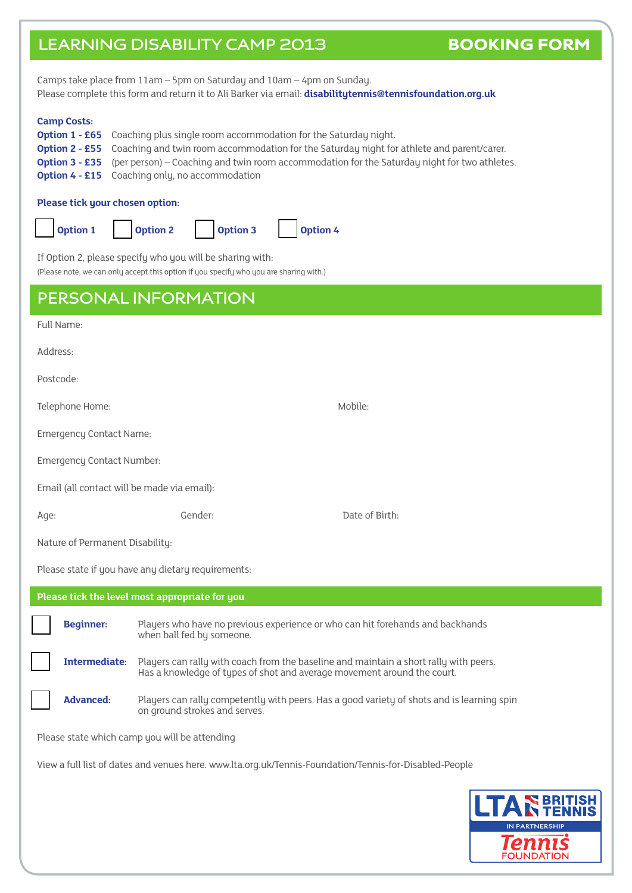# LEARNING DISABILITY CAMP 2013 BOOKING FORM

Camps take place from 11am – 5pm on Saturday and 10am – 4pm on Sunday. Please complete this form and return it to Ali Barker via email: **disabilitytennis@tennisfoundation.org.uk**

### **Camp Costs:**

| <b>Option 1 - £65</b> Coaching plus single room accommodation for the Saturday night.                              |
|--------------------------------------------------------------------------------------------------------------------|
| <b>Option 2 - £55</b> Coaching and twin room accommodation for the Saturday night for athlete and parent/carer.    |
| <b>Option 3 - £35</b> (per person) – Coaching and twin room accommodation for the Saturday night for two athletes. |
| <b>Option 4 - £15</b> Coaching only, no accommodation                                                              |

#### **Please tick your chosen option:**



If Option 2, please specify who you will be sharing with:

 $\alpha$  (Please note, we can only accept this option if you specify who you are sharing with.)

| (Please note, we can only accept this option if you specify who you are sharing with.)                 |                                                                                                                                                                  |                                                                                            |  |  |
|--------------------------------------------------------------------------------------------------------|------------------------------------------------------------------------------------------------------------------------------------------------------------------|--------------------------------------------------------------------------------------------|--|--|
| PERSONAL INFORMATION                                                                                   |                                                                                                                                                                  |                                                                                            |  |  |
| Full Name:                                                                                             |                                                                                                                                                                  |                                                                                            |  |  |
| Address:                                                                                               |                                                                                                                                                                  |                                                                                            |  |  |
| Postcode:                                                                                              |                                                                                                                                                                  |                                                                                            |  |  |
| Telephone Home:                                                                                        |                                                                                                                                                                  | Mobile:                                                                                    |  |  |
| <b>Emergency Contact Name:</b>                                                                         |                                                                                                                                                                  |                                                                                            |  |  |
| <b>Emergency Contact Number:</b>                                                                       |                                                                                                                                                                  |                                                                                            |  |  |
| Email (all contact will be made via email):                                                            |                                                                                                                                                                  |                                                                                            |  |  |
| Age:                                                                                                   | Gender:                                                                                                                                                          | Date of Birth:                                                                             |  |  |
| Nature of Permanent Disability:                                                                        |                                                                                                                                                                  |                                                                                            |  |  |
| Please state if you have any dietary requirements:                                                     |                                                                                                                                                                  |                                                                                            |  |  |
| Please tick the level most appropriate for you                                                         |                                                                                                                                                                  |                                                                                            |  |  |
| <b>Beginner:</b>                                                                                       | Players who have no previous experience or who can hit forehands and backhands<br>when ball fed by someone.                                                      |                                                                                            |  |  |
| <b>Intermediate:</b>                                                                                   | Players can rally with coach from the baseline and maintain a short rally with peers.<br>Has a knowledge of types of shot and average movement around the court. |                                                                                            |  |  |
| <b>Advanced:</b>                                                                                       | on ground strokes and serves.                                                                                                                                    | Players can rally competently with peers. Has a good variety of shots and is learning spin |  |  |
| Please state which camp you will be attending                                                          |                                                                                                                                                                  |                                                                                            |  |  |
| View a full list of dates and venues here. www.lta.org.uk/Tennis-Foundation/Tennis-for-Disabled-People |                                                                                                                                                                  |                                                                                            |  |  |

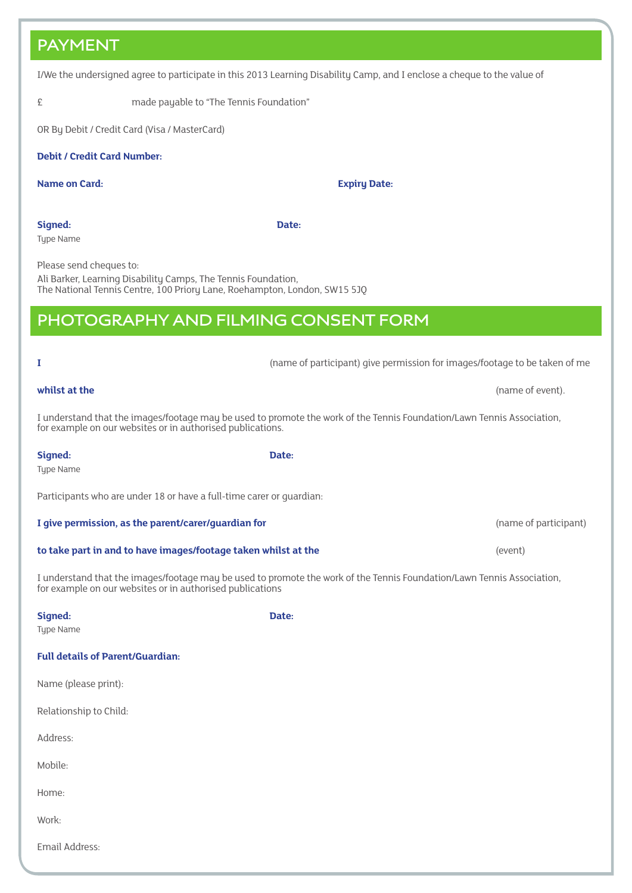### **PAYMENT**

I/We the undersigned agree to participate in this 2013 Learning Disability Camp, and I enclose a cheque to the value of

£ made payable to "The Tennis Foundation"

OR By Debit / Credit Card (Visa / MasterCard)

### **Debit / Credit Card Number:**

**Name on Card: Expiry Date:**

**Signed: Date:** Type Name

Please send cheques to: Ali Barker, Learning Disability Camps, The Tennis Foundation,

The National Tennis Centre, 100 Priory Lane, Roehampton, London, SW15 5JQ

## **PHOTOGRAPHY AND FILMING CONSENT FORM**

I understand that the images/footage may be used to promote the work of the Tennis Foundation/Lawn Tennis Association, for example on our websites or in authorised publications. **Signed: Date:** Type Name Participants who are under 18 or have a full-time carer or guardian: **I give permission, as the parent/carer/guardian for and the participant** (name of participant) **to take part in and to have images/footage taken whilst at the discussed and the (event)** (event)

I understand that the images/footage may be used to promote the work of the Tennis Foundation/Lawn Tennis Association, for example on our websites or in authorised publications

| Signed:                                 | Date: |
|-----------------------------------------|-------|
| Type Name                               |       |
| <b>Full details of Parent/Guardian:</b> |       |
| Name (please print):                    |       |
| Relationship to Child:                  |       |
| Address:                                |       |
| Mobile:                                 |       |
| Home:                                   |       |
| Work:                                   |       |
| Email Address:                          |       |
|                                         |       |

**I** (name of participant) give permission for images/footage to be taken of me

**whilst at the** (name of event). **Whilst at the (name of event). (name of event).**